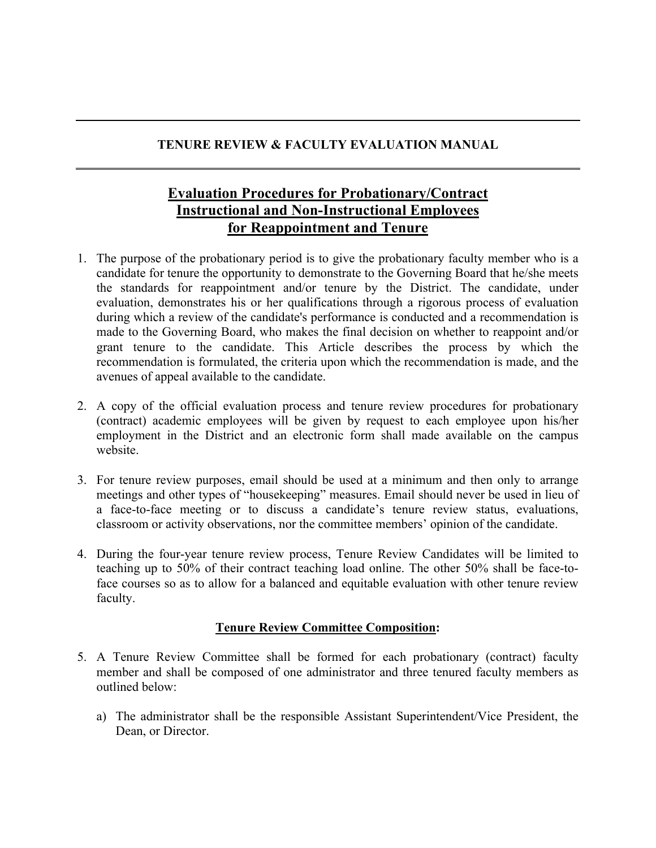## **TENURE REVIEW & FACULTY EVALUATION MANUAL**

# **Evaluation Procedures for Probationary/Contract Instructional and Non-Instructional Employees for Reappointment and Tenure**

- 1. The purpose of the probationary period is to give the probationary faculty member who is a candidate for tenure the opportunity to demonstrate to the Governing Board that he/she meets the standards for reappointment and/or tenure by the District. The candidate, under evaluation, demonstrates his or her qualifications through a rigorous process of evaluation during which a review of the candidate's performance is conducted and a recommendation is made to the Governing Board, who makes the final decision on whether to reappoint and/or grant tenure to the candidate. This Article describes the process by which the recommendation is formulated, the criteria upon which the recommendation is made, and the avenues of appeal available to the candidate.
- 2. A copy of the official evaluation process and tenure review procedures for probationary (contract) academic employees will be given by request to each employee upon his/her employment in the District and an electronic form shall made available on the campus website.
- 3. For tenure review purposes, email should be used at a minimum and then only to arrange meetings and other types of "housekeeping" measures. Email should never be used in lieu of a face-to-face meeting or to discuss a candidate's tenure review status, evaluations, classroom or activity observations, nor the committee members' opinion of the candidate.
- 4. During the four-year tenure review process, Tenure Review Candidates will be limited to teaching up to 50% of their contract teaching load online. The other 50% shall be face-toface courses so as to allow for a balanced and equitable evaluation with other tenure review faculty.

### **Tenure Review Committee Composition:**

- 5. A Tenure Review Committee shall be formed for each probationary (contract) faculty member and shall be composed of one administrator and three tenured faculty members as outlined below:
	- a) The administrator shall be the responsible Assistant Superintendent/Vice President, the Dean, or Director.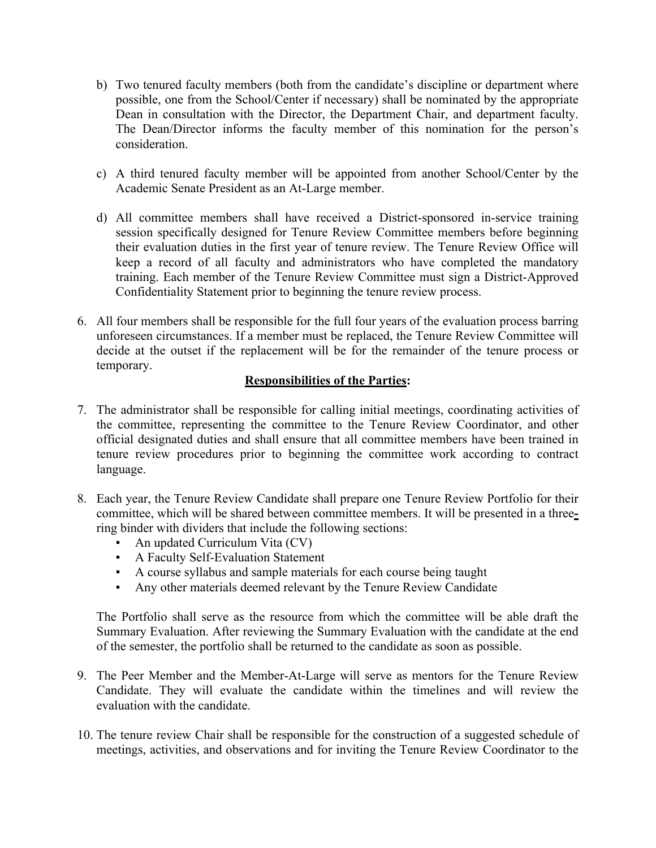- b) Two tenured faculty members (both from the candidate's discipline or department where possible, one from the School/Center if necessary) shall be nominated by the appropriate Dean in consultation with the Director, the Department Chair, and department faculty. The Dean/Director informs the faculty member of this nomination for the person's consideration.
- c) A third tenured faculty member will be appointed from another School/Center by the Academic Senate President as an At-Large member.
- d) All committee members shall have received a District-sponsored in-service training session specifically designed for Tenure Review Committee members before beginning their evaluation duties in the first year of tenure review. The Tenure Review Office will keep a record of all faculty and administrators who have completed the mandatory training. Each member of the Tenure Review Committee must sign a District-Approved Confidentiality Statement prior to beginning the tenure review process.
- 6. All four members shall be responsible for the full four years of the evaluation process barring unforeseen circumstances. If a member must be replaced, the Tenure Review Committee will decide at the outset if the replacement will be for the remainder of the tenure process or temporary.

#### **Responsibilities of the Parties:**

- 7. The administrator shall be responsible for calling initial meetings, coordinating activities of the committee, representing the committee to the Tenure Review Coordinator, and other official designated duties and shall ensure that all committee members have been trained in tenure review procedures prior to beginning the committee work according to contract language.
- 8. Each year, the Tenure Review Candidate shall prepare one Tenure Review Portfolio for their committee, which will be shared between committee members. It will be presented in a threering binder with dividers that include the following sections:
	- An updated Curriculum Vita (CV)
	- A Faculty Self-Evaluation Statement
	- A course syllabus and sample materials for each course being taught
	- Any other materials deemed relevant by the Tenure Review Candidate

The Portfolio shall serve as the resource from which the committee will be able draft the Summary Evaluation. After reviewing the Summary Evaluation with the candidate at the end of the semester, the portfolio shall be returned to the candidate as soon as possible.

- 9. The Peer Member and the Member-At-Large will serve as mentors for the Tenure Review Candidate. They will evaluate the candidate within the timelines and will review the evaluation with the candidate.
- 10. The tenure review Chair shall be responsible for the construction of a suggested schedule of meetings, activities, and observations and for inviting the Tenure Review Coordinator to the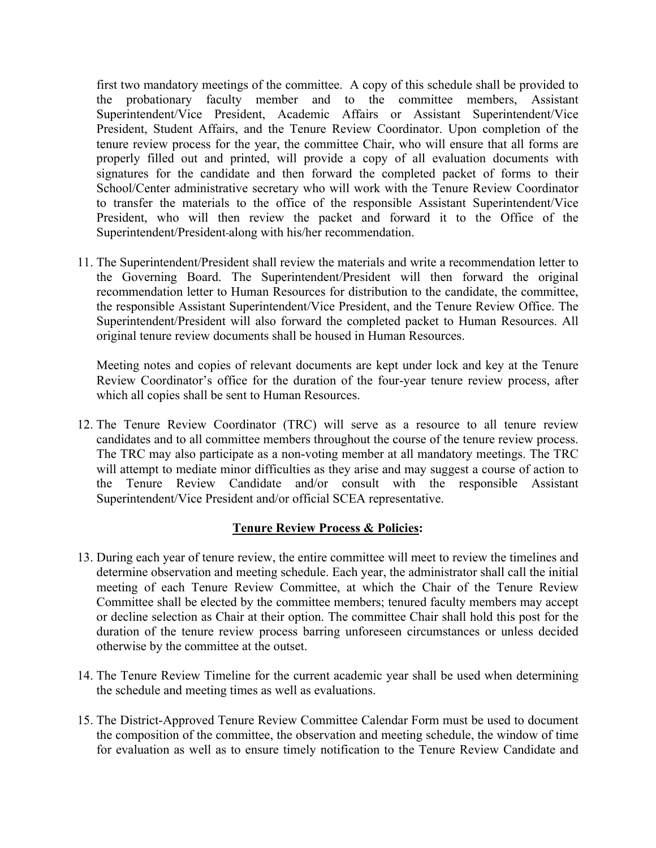first two mandatory meetings of the committee. A copy of this schedule shall be provided to the probationary faculty member and to the committee members, Assistant Superintendent/Vice President, Academic Affairs or Assistant Superintendent/Vice President, Student Affairs, and the Tenure Review Coordinator. Upon completion of the tenure review process for the year, the committee Chair, who will ensure that all forms are properly filled out and printed, will provide a copy of all evaluation documents with signatures for the candidate and then forward the completed packet of forms to their School/Center administrative secretary who will work with the Tenure Review Coordinator to transfer the materials to the office of the responsible Assistant Superintendent/Vice President, who will then review the packet and forward it to the Office of the Superintendent/President along with his/her recommendation.

11. The Superintendent/President shall review the materials and write a recommendation letter to the Governing Board. The Superintendent/President will then forward the original recommendation letter to Human Resources for distribution to the candidate, the committee, the responsible Assistant Superintendent/Vice President, and the Tenure Review Office. The Superintendent/President will also forward the completed packet to Human Resources. All original tenure review documents shall be housed in Human Resources.

Meeting notes and copies of relevant documents are kept under lock and key at the Tenure Review Coordinator's office for the duration of the four-year tenure review process, after which all copies shall be sent to Human Resources.

12. The Tenure Review Coordinator (TRC) will serve as a resource to all tenure review candidates and to all committee members throughout the course of the tenure review process. The TRC may also participate as a non-voting member at all mandatory meetings. The TRC will attempt to mediate minor difficulties as they arise and may suggest a course of action to the Tenure Review Candidate and/or consult with the responsible Assistant Superintendent/Vice President and/or official SCEA representative.

### **Tenure Review Process & Policies:**

- 13. During each year of tenure review, the entire committee will meet to review the timelines and determine observation and meeting schedule. Each year, the administrator shall call the initial meeting of each Tenure Review Committee, at which the Chair of the Tenure Review Committee shall be elected by the committee members; tenured faculty members may accept or decline selection as Chair at their option. The committee Chair shall hold this post for the duration of the tenure review process barring unforeseen circumstances or unless decided otherwise by the committee at the outset.
- 14. The Tenure Review Timeline for the current academic year shall be used when determining the schedule and meeting times as well as evaluations.
- 15. The District-Approved Tenure Review Committee Calendar Form must be used to document the composition of the committee, the observation and meeting schedule, the window of time for evaluation as well as to ensure timely notification to the Tenure Review Candidate and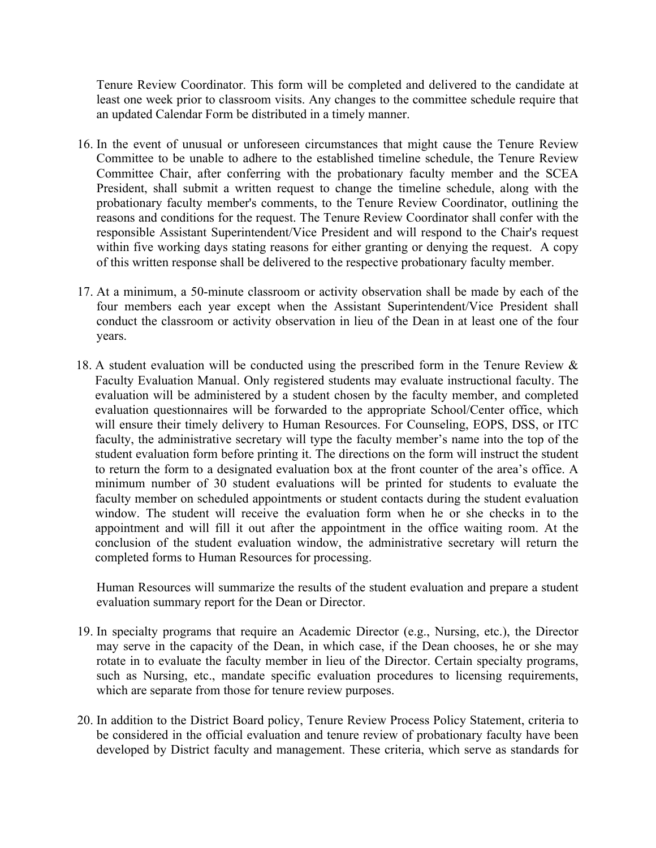Tenure Review Coordinator. This form will be completed and delivered to the candidate at least one week prior to classroom visits. Any changes to the committee schedule require that an updated Calendar Form be distributed in a timely manner.

- 16. In the event of unusual or unforeseen circumstances that might cause the Tenure Review Committee to be unable to adhere to the established timeline schedule, the Tenure Review Committee Chair, after conferring with the probationary faculty member and the SCEA President, shall submit a written request to change the timeline schedule, along with the probationary faculty member's comments, to the Tenure Review Coordinator, outlining the reasons and conditions for the request. The Tenure Review Coordinator shall confer with the responsible Assistant Superintendent/Vice President and will respond to the Chair's request within five working days stating reasons for either granting or denying the request. A copy of this written response shall be delivered to the respective probationary faculty member.
- 17. At a minimum, a 50-minute classroom or activity observation shall be made by each of the four members each year except when the Assistant Superintendent/Vice President shall conduct the classroom or activity observation in lieu of the Dean in at least one of the four years.
- 18. A student evaluation will be conducted using the prescribed form in the Tenure Review & Faculty Evaluation Manual. Only registered students may evaluate instructional faculty. The evaluation will be administered by a student chosen by the faculty member, and completed evaluation questionnaires will be forwarded to the appropriate School/Center office, which will ensure their timely delivery to Human Resources. For Counseling, EOPS, DSS, or ITC faculty, the administrative secretary will type the faculty member's name into the top of the student evaluation form before printing it. The directions on the form will instruct the student to return the form to a designated evaluation box at the front counter of the area's office. A minimum number of 30 student evaluations will be printed for students to evaluate the faculty member on scheduled appointments or student contacts during the student evaluation window. The student will receive the evaluation form when he or she checks in to the appointment and will fill it out after the appointment in the office waiting room. At the conclusion of the student evaluation window, the administrative secretary will return the completed forms to Human Resources for processing.

Human Resources will summarize the results of the student evaluation and prepare a student evaluation summary report for the Dean or Director.

- 19. In specialty programs that require an Academic Director (e.g., Nursing, etc.), the Director may serve in the capacity of the Dean, in which case, if the Dean chooses, he or she may rotate in to evaluate the faculty member in lieu of the Director. Certain specialty programs, such as Nursing, etc., mandate specific evaluation procedures to licensing requirements, which are separate from those for tenure review purposes.
- 20. In addition to the District Board policy, Tenure Review Process Policy Statement, criteria to be considered in the official evaluation and tenure review of probationary faculty have been developed by District faculty and management. These criteria, which serve as standards for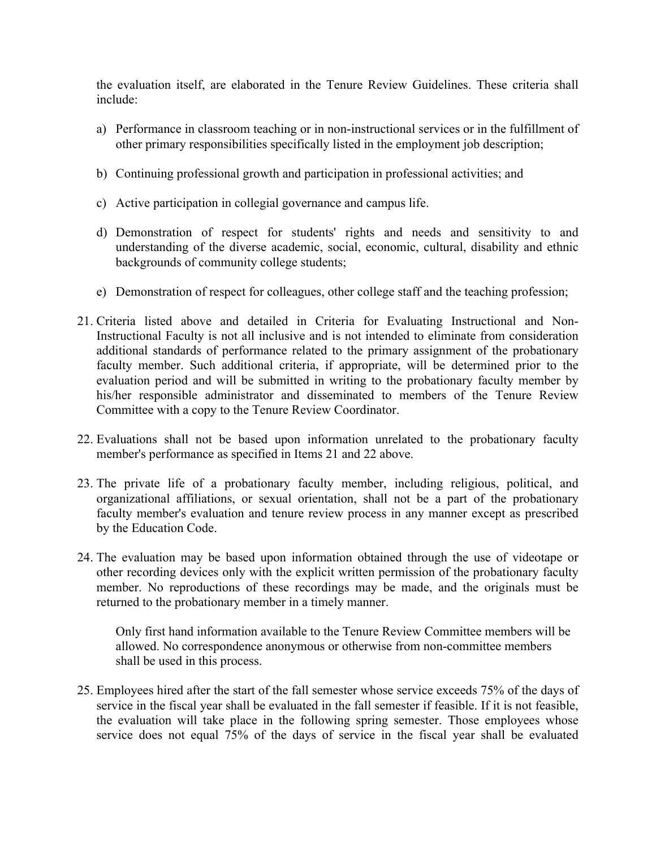the evaluation itself, are elaborated in the Tenure Review Guidelines. These criteria shall include:

- a) Performance in classroom teaching or in non-instructional services or in the fulfillment of other primary responsibilities specifically listed in the employment job description;
- b) Continuing professional growth and participation in professional activities; and
- c) Active participation in collegial governance and campus life.
- d) Demonstration of respect for students' rights and needs and sensitivity to and understanding of the diverse academic, social, economic, cultural, disability and ethnic backgrounds of community college students;
- e) Demonstration of respect for colleagues, other college staff and the teaching profession;
- 21. Criteria listed above and detailed in Criteria for Evaluating Instructional and Non-Instructional Faculty is not all inclusive and is not intended to eliminate from consideration additional standards of performance related to the primary assignment of the probationary faculty member. Such additional criteria, if appropriate, will be determined prior to the evaluation period and will be submitted in writing to the probationary faculty member by his/her responsible administrator and disseminated to members of the Tenure Review Committee with a copy to the Tenure Review Coordinator.
- 22. Evaluations shall not be based upon information unrelated to the probationary faculty member's performance as specified in Items 21 and 22 above.
- 23. The private life of a probationary faculty member, including religious, political, and organizational affiliations, or sexual orientation, shall not be a part of the probationary faculty member's evaluation and tenure review process in any manner except as prescribed by the Education Code.
- 24. The evaluation may be based upon information obtained through the use of videotape or other recording devices only with the explicit written permission of the probationary faculty member. No reproductions of these recordings may be made, and the originals must be returned to the probationary member in a timely manner.

Only first hand information available to the Tenure Review Committee members will be allowed. No correspondence anonymous or otherwise from non-committee members shall be used in this process.

25. Employees hired after the start of the fall semester whose service exceeds 75% of the days of service in the fiscal year shall be evaluated in the fall semester if feasible. If it is not feasible, the evaluation will take place in the following spring semester. Those employees whose service does not equal 75% of the days of service in the fiscal year shall be evaluated